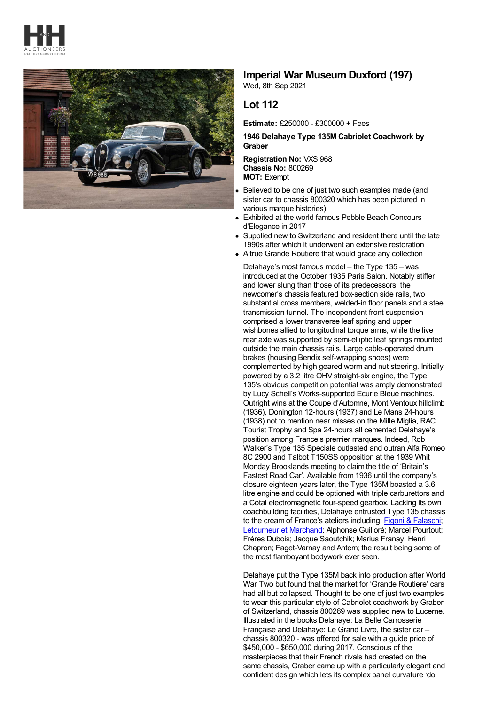



## **Imperial War Museum Duxford (197)**

Wed, 8th Sep 2021

## **Lot 112**

**Estimate:** £250000 - £300000 + Fees

**1946 Delahaye Type 135M Cabriolet Coachwork by Graber**

**Registration No:** VXS 968 **Chassis No:** 800269 **MOT:** Exempt

- Believed to be one of just two such examples made (and sister car to chassis 800320 which has been pictured in various marque histories)
- Exhibited at the world famous Pebble Beach Concours d'Elegance in 2017
- Supplied new to Switzerland and resident there until the late 1990s after which it underwent an extensive restoration
- A true Grande Routiere that would grace any collection

Delahaye's most famous model – the Type 135 – was introduced at the October 1935 Paris Salon. Notably stiffer and lower slung than those of its predecessors, the newcomer's chassis featured box-section side rails, two substantial cross members, welded-in floor panels and a steel transmission tunnel. The independent front suspension comprised a lower transverse leaf spring and upper wishbones allied to longitudinal torque arms, while the live rear axle was supported by semi-elliptic leaf springs mounted outside the main chassis rails. Large cable-operated drum brakes (housing Bendix self-wrapping shoes) were complemented by high geared worm and nut steering. Initially powered by a 3.2 litre OHV straight-six engine, the Type 135's obvious competition potential was amply demonstrated by Lucy Schell's Works-supported Ecurie Bleue machines. Outright wins at the Coupe d'Automne, Mont Ventoux hillclimb (1936), Donington 12-hours (1937) and Le Mans 24-hours (1938) not to mention near misses on the Mille Miglia, RAC Tourist Trophy and Spa 24-hours all cemented Delahaye's position among France's premier marques. Indeed, Rob Walker's Type 135 Speciale outlasted and outran Alfa Romeo 8C 2900 and Talbot T150SS opposition at the 1939 Whit Monday Brooklands meeting to claim the title of 'Britain's Fastest Road Car'. Available from 1936 until the company's closure eighteen years later, the Type 135M boasted a 3.6 litre engine and could be optioned with triple carburettors and a Cotal electromagnetic four-speed gearbox. Lacking its own coachbuilding facilities, Delahaye entrusted Type 135 chassis to the cream of France's ateliers including: Figoni & [Falaschi;](https://en.wikipedia.org/wiki/Figoni_%26_Falaschi) [Letourneur](https://en.wikipedia.org/wiki/Letourneur_et_Marchand) et Marchand; Alphonse Guilloré; Marcel Pourtout; Frères Dubois; Jacque Saoutchik; Marius Franay; Henri Chapron; Faget-Varnay and Antem; the result being some of the most flamboyant bodywork ever seen.

Delahaye put the Type 135M back into production after World War Two but found that the market for 'Grande Routiere' cars had all but collapsed. Thought to be one of just two examples to wear this particular style of Cabriolet coachwork by Graber of Switzerland, chassis 800269 was supplied new to Lucerne. Illustrated in the books Delahaye: La Belle Carrosserie Française and Delahaye: Le Grand Livre, the sister car – chassis 800320 - was offered for sale with a guide price of \$450,000 - \$650,000 during 2017. Conscious of the masterpieces that their French rivals had created on the same chassis, Graber came up with a particularly elegant and confident design which lets its complex panel curvature 'do